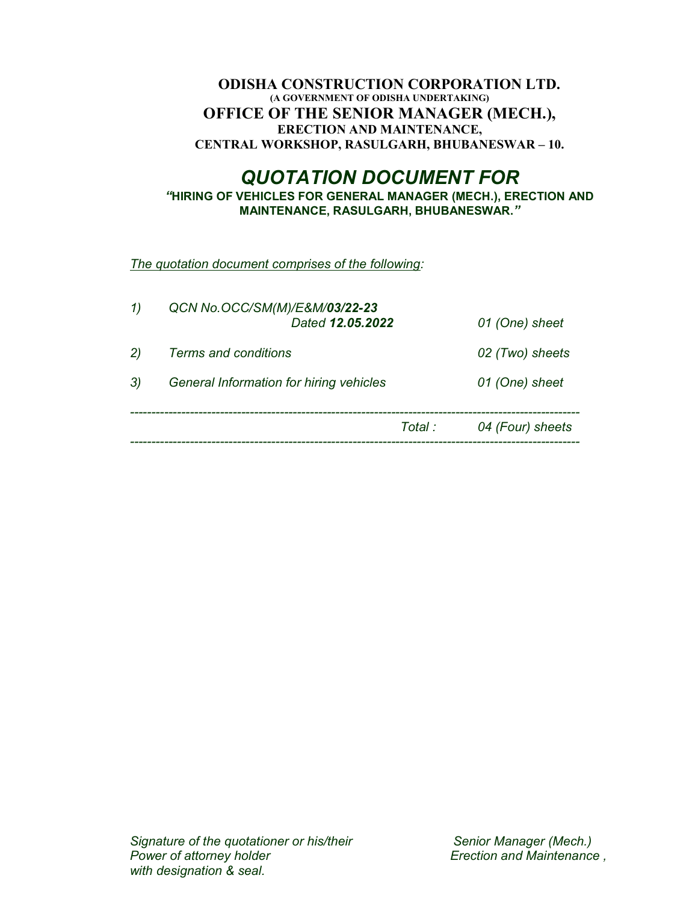### ODISHA CONSTRUCTION CORPORATION LTD. (A GOVERNMENT OF ODISHA UNDERTAKING) OFFICE OF THE SENIOR MANAGER (MECH.), ERECTION AND MAINTENANCE, CENTRAL WORKSHOP, RASULGARH, BHUBANESWAR – 10.

# QUOTATION DOCUMENT FOR

"HIRING OF VEHICLES FOR GENERAL MANAGER (MECH.), ERECTION AND MAINTENANCE, RASULGARH, BHUBANESWAR."

The quotation document comprises of the following:

| 1) | QCN No.OCC/SM(M)/E&M/03/22-23<br>Dated 12.05.2022 |         | 01 (One) sheet   |
|----|---------------------------------------------------|---------|------------------|
| 2) | Terms and conditions                              |         | 02 (Two) sheets  |
| 3) | General Information for hiring vehicles           |         | 01 (One) sheet   |
|    |                                                   | Total : | 04 (Four) sheets |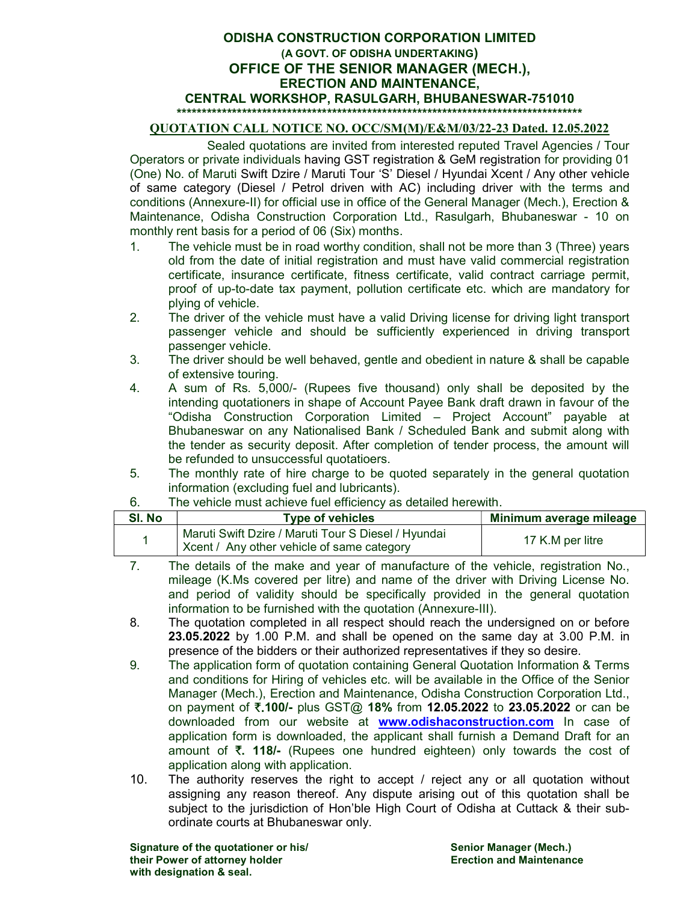#### ODISHA CONSTRUCTION CORPORATION LIMITED (A GOVT. OF ODISHA UNDERTAKING) OFFICE OF THE SENIOR MANAGER (MECH.), ERECTION AND MAINTENANCE, CENTRAL WORKSHOP, RASULGARH, BHUBANESWAR-751010 \*\*\*\*\*\*\*\*\*\*\*\*\*\*\*\*\*\*\*\*\*\*\*\*\*\*\*\*\*\*\*\*\*\*\*\*\*\*\*\*\*\*\*\*\*\*\*\*\*\*\*\*\*\*\*\*\*\*\*\*\*\*\*\*\*\*\*\*\*\*\*\*\*\*\*\*\*\*\*\*\*

#### QUOTATION CALL NOTICE NO. OCC/SM(M)/E&M/03/22-23 Dated. 12.05.2022

Sealed quotations are invited from interested reputed Travel Agencies / Tour Operators or private individuals having GST registration & GeM registration for providing 01 (One) No. of Maruti Swift Dzire / Maruti Tour 'S' Diesel / Hyundai Xcent / Any other vehicle of same category (Diesel / Petrol driven with AC) including driver with the terms and conditions (Annexure-II) for official use in office of the General Manager (Mech.), Erection & Maintenance, Odisha Construction Corporation Ltd., Rasulgarh, Bhubaneswar - 10 on monthly rent basis for a period of 06 (Six) months.

- 1. The vehicle must be in road worthy condition, shall not be more than 3 (Three) years old from the date of initial registration and must have valid commercial registration certificate, insurance certificate, fitness certificate, valid contract carriage permit, proof of up-to-date tax payment, pollution certificate etc. which are mandatory for plying of vehicle.
- 2. The driver of the vehicle must have a valid Driving license for driving light transport passenger vehicle and should be sufficiently experienced in driving transport passenger vehicle.
- 3. The driver should be well behaved, gentle and obedient in nature & shall be capable of extensive touring.
- 4. A sum of Rs. 5,000/- (Rupees five thousand) only shall be deposited by the intending quotationers in shape of Account Payee Bank draft drawn in favour of the "Odisha Construction Corporation Limited – Project Account" payable at Bhubaneswar on any Nationalised Bank / Scheduled Bank and submit along with the tender as security deposit. After completion of tender process, the amount will be refunded to unsuccessful quotatioers.
- 5. The monthly rate of hire charge to be quoted separately in the general quotation information (excluding fuel and lubricants).

| SI. No | <b>Type of vehicles</b>                                                                           | Minimum average mileage |
|--------|---------------------------------------------------------------------------------------------------|-------------------------|
|        | Maruti Swift Dzire / Maruti Tour S Diesel / Hyundai<br>Xcent / Any other vehicle of same category | 17 K.M per litre        |

- 6. The vehicle must achieve fuel efficiency as detailed herewith.
- 7. The details of the make and year of manufacture of the vehicle, registration No., mileage (K.Ms covered per litre) and name of the driver with Driving License No. and period of validity should be specifically provided in the general quotation information to be furnished with the quotation (Annexure-III).
- 8. The quotation completed in all respect should reach the undersigned on or before 23.05.2022 by 1.00 P.M. and shall be opened on the same day at 3.00 P.M. in presence of the bidders or their authorized representatives if they so desire.
- 9. The application form of quotation containing General Quotation Information & Terms and conditions for Hiring of vehicles etc. will be available in the Office of the Senior Manager (Mech.), Erection and Maintenance, Odisha Construction Corporation Ltd., on payment of  $\bar{\tau}$ .100/- plus GST@ 18% from 12.05.2022 to 23.05.2022 or can be downloaded from our website at **www.odishaconstruction.com** In case of application form is downloaded, the applicant shall furnish a Demand Draft for an amount of  $\overline{\zeta}$ . 118/- (Rupees one hundred eighteen) only towards the cost of application along with application.
- 10. The authority reserves the right to accept / reject any or all quotation without assigning any reason thereof. Any dispute arising out of this quotation shall be subject to the jurisdiction of Hon'ble High Court of Odisha at Cuttack & their subordinate courts at Bhubaneswar only.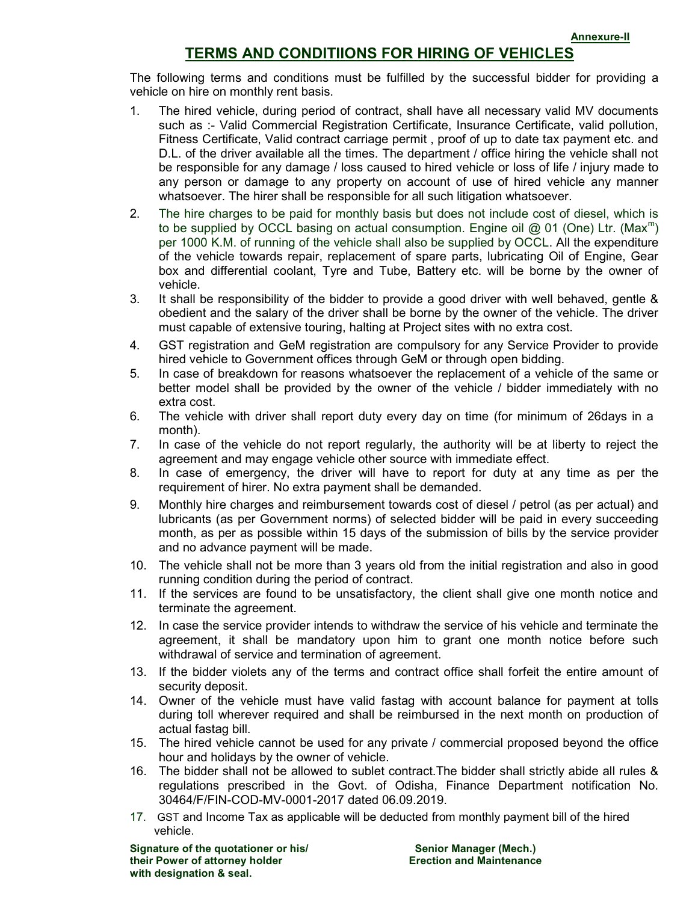## TERMS AND CONDITIIONS FOR HIRING OF VEHICLES

The following terms and conditions must be fulfilled by the successful bidder for providing a vehicle on hire on monthly rent basis.

- 1. The hired vehicle, during period of contract, shall have all necessary valid MV documents such as :- Valid Commercial Registration Certificate, Insurance Certificate, valid pollution, Fitness Certificate, Valid contract carriage permit , proof of up to date tax payment etc. and D.L. of the driver available all the times. The department / office hiring the vehicle shall not be responsible for any damage / loss caused to hired vehicle or loss of life / injury made to any person or damage to any property on account of use of hired vehicle any manner whatsoever. The hirer shall be responsible for all such litigation whatsoever.
- 2. The hire charges to be paid for monthly basis but does not include cost of diesel, which is to be supplied by OCCL basing on actual consumption. Engine oil @ 01 (One) Ltr. (Max<sup>m</sup>) per 1000 K.M. of running of the vehicle shall also be supplied by OCCL. All the expenditure of the vehicle towards repair, replacement of spare parts, lubricating Oil of Engine, Gear box and differential coolant, Tyre and Tube, Battery etc. will be borne by the owner of vehicle.
- 3. It shall be responsibility of the bidder to provide a good driver with well behaved, gentle & obedient and the salary of the driver shall be borne by the owner of the vehicle. The driver must capable of extensive touring, halting at Project sites with no extra cost.
- 4. GST registration and GeM registration are compulsory for any Service Provider to provide hired vehicle to Government offices through GeM or through open bidding.
- 5. In case of breakdown for reasons whatsoever the replacement of a vehicle of the same or better model shall be provided by the owner of the vehicle / bidder immediately with no extra cost.
- 6. The vehicle with driver shall report duty every day on time (for minimum of 26days in a month).
- 7. In case of the vehicle do not report regularly, the authority will be at liberty to reject the agreement and may engage vehicle other source with immediate effect.
- 8. In case of emergency, the driver will have to report for duty at any time as per the requirement of hirer. No extra payment shall be demanded.
- 9. Monthly hire charges and reimbursement towards cost of diesel / petrol (as per actual) and lubricants (as per Government norms) of selected bidder will be paid in every succeeding month, as per as possible within 15 days of the submission of bills by the service provider and no advance payment will be made.
- 10. The vehicle shall not be more than 3 years old from the initial registration and also in good running condition during the period of contract.
- 11. If the services are found to be unsatisfactory, the client shall give one month notice and terminate the agreement.
- 12. In case the service provider intends to withdraw the service of his vehicle and terminate the agreement, it shall be mandatory upon him to grant one month notice before such withdrawal of service and termination of agreement.
- 13. If the bidder violets any of the terms and contract office shall forfeit the entire amount of security deposit.
- 14. Owner of the vehicle must have valid fastag with account balance for payment at tolls during toll wherever required and shall be reimbursed in the next month on production of actual fastag bill.
- 15. The hired vehicle cannot be used for any private / commercial proposed beyond the office hour and holidays by the owner of vehicle.
- 16. The bidder shall not be allowed to sublet contract.The bidder shall strictly abide all rules & regulations prescribed in the Govt. of Odisha, Finance Department notification No. 30464/F/FIN-COD-MV-0001-2017 dated 06.09.2019.
- 17. GST and Income Tax as applicable will be deducted from monthly payment bill of the hired vehicle.

Signature of the quotationer or his/ Senior Manager (Mech.) their Power of attorney holder **Example 2018** Erection and Maintenance with designation & seal.